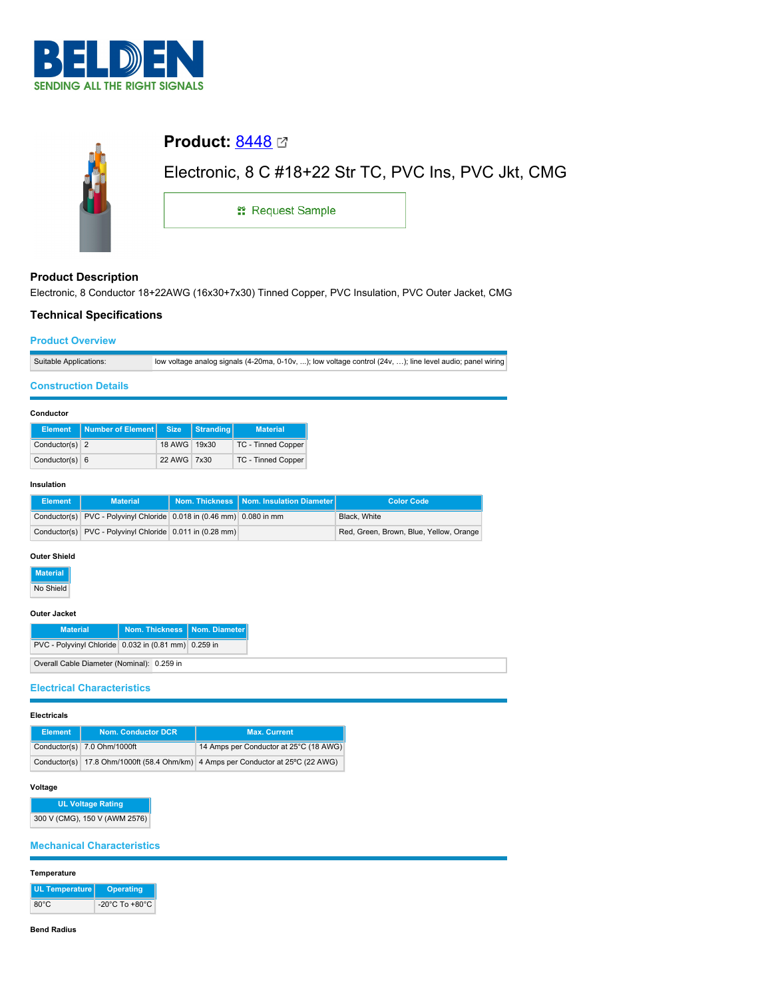



## **Product Description**

Electronic, 8 Conductor 18+22AWG (16x30+7x30) Tinned Copper, PVC Insulation, PVC Outer Jacket, CMG

## **Technical Specifications**

### **Product Overview**

| Suitable Applications: | low voltage analog signals (4-20ma, 0-10v, ); low voltage control (24v, ); line level audio; panel wiring |
|------------------------|-----------------------------------------------------------------------------------------------------------|

#### **Construction Details**

#### **Conductor**

|                  | Element   Number of Element   Size |              | Stranding | <b>Material</b>           |
|------------------|------------------------------------|--------------|-----------|---------------------------|
| Conductor(s) $2$ |                                    | 18 AWG 19x30 |           | TC - Tinned Copper        |
| Conductor(s) $6$ |                                    | 22 AWG 7x30  |           | <b>TC - Tinned Copper</b> |

#### **Insulation**

| Element | <b>Material</b>                                                      |  | Nom. Thickness   Nom. Insulation Diameter | <b>Color Code</b>                       |  |
|---------|----------------------------------------------------------------------|--|-------------------------------------------|-----------------------------------------|--|
|         | Conductor(s) PVC - Polyvinyl Chloride 0.018 in (0.46 mm) 0.080 in mm |  |                                           | Black, White                            |  |
|         | Conductor(s) PVC - Polyvinyl Chloride 0.011 in (0.28 mm)             |  |                                           | Red, Green, Brown, Blue, Yellow, Orange |  |

### **Outer Shield**

**Material**

No Shield

### **Outer Jacket**

| <b>Material</b>                                          | Nom. Thickness   Nom. Diameter |  |
|----------------------------------------------------------|--------------------------------|--|
| PVC - Polyvinyl Chloride   0.032 in (0.81 mm)   0.259 in |                                |  |
| Overall Cable Diameter (Nominal): 0.259 in               |                                |  |

## **Electrical Characteristics**

#### **Electricals**

| <b>Element</b> | <b>Nom. Conductor DCR</b>   | <b>Max. Current</b>                                                              |
|----------------|-----------------------------|----------------------------------------------------------------------------------|
|                | Conductor(s) 7.0 Ohm/1000ft | 14 Amps per Conductor at 25°C (18 AWG)                                           |
|                |                             | Conductor(s) 17.8 Ohm/1000ft (58.4 Ohm/km) 4 Amps per Conductor at 25°C (22 AWG) |

#### **Voltage**

**UL Voltage Rating** 300 V (CMG), 150 V (AWM 2576)

# **Mechanical Characteristics**

#### **Temperature**

| UL Temperature | Operating                          |
|----------------|------------------------------------|
| $80^{\circ}$ C | $-20^{\circ}$ C To $+80^{\circ}$ C |

#### **Bend Radius**